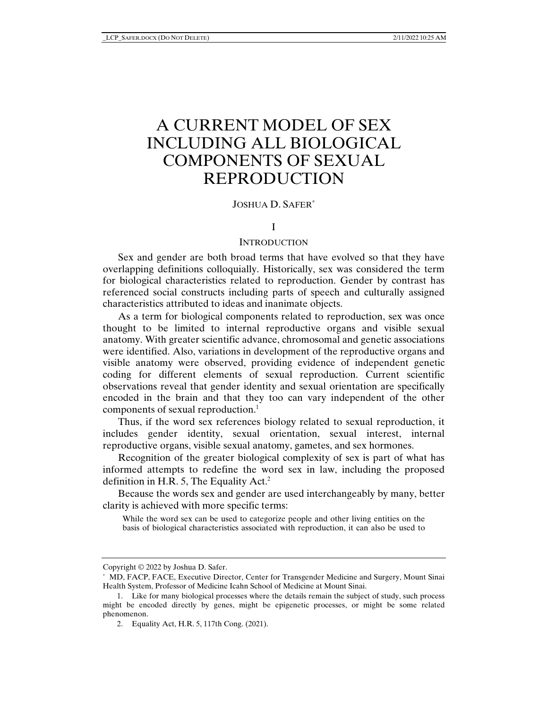# A CURRENT MODEL OF SEX INCLUDING ALL BIOLOGICAL COMPONENTS OF SEXUAL REPRODUCTION

### JOSHUA D. SAFER\*

### I

### **INTRODUCTION**

Sex and gender are both broad terms that have evolved so that they have overlapping definitions colloquially. Historically, sex was considered the term for biological characteristics related to reproduction. Gender by contrast has referenced social constructs including parts of speech and culturally assigned characteristics attributed to ideas and inanimate objects.

As a term for biological components related to reproduction, sex was once thought to be limited to internal reproductive organs and visible sexual anatomy. With greater scientific advance, chromosomal and genetic associations were identified. Also, variations in development of the reproductive organs and visible anatomy were observed, providing evidence of independent genetic coding for different elements of sexual reproduction. Current scientific observations reveal that gender identity and sexual orientation are specifically encoded in the brain and that they too can vary independent of the other components of sexual reproduction.<sup>1</sup>

Thus, if the word sex references biology related to sexual reproduction, it includes gender identity, sexual orientation, sexual interest, internal reproductive organs, visible sexual anatomy, gametes, and sex hormones.

Recognition of the greater biological complexity of sex is part of what has informed attempts to redefine the word sex in law, including the proposed definition in H.R. 5, The Equality Act.<sup>2</sup>

Because the words sex and gender are used interchangeably by many, better clarity is achieved with more specific terms:

While the word sex can be used to categorize people and other living entities on the basis of biological characteristics associated with reproduction, it can also be used to

Copyright © 2022 by Joshua D. Safer.

<sup>\*</sup> MD, FACP, FACE, Executive Director, Center for Transgender Medicine and Surgery, Mount Sinai Health System, Professor of Medicine Icahn School of Medicine at Mount Sinai.

<sup>1.</sup> Like for many biological processes where the details remain the subject of study, such process might be encoded directly by genes, might be epigenetic processes, or might be some related phenomenon.

<sup>2.</sup> Equality Act, H.R. 5, 117th Cong. (2021).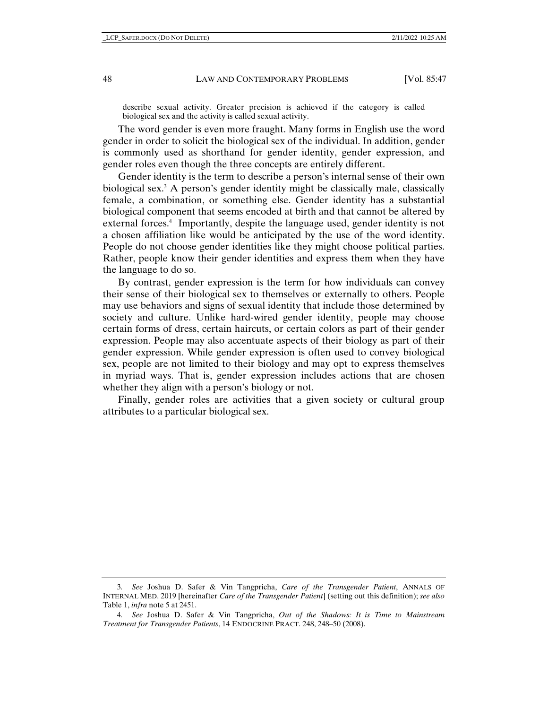describe sexual activity. Greater precision is achieved if the category is called biological sex and the activity is called sexual activity.

The word gender is even more fraught. Many forms in English use the word gender in order to solicit the biological sex of the individual. In addition, gender is commonly used as shorthand for gender identity, gender expression, and gender roles even though the three concepts are entirely different.

Gender identity is the term to describe a person's internal sense of their own biological sex.3 A person's gender identity might be classically male, classically female, a combination, or something else. Gender identity has a substantial biological component that seems encoded at birth and that cannot be altered by external forces.<sup>4</sup> Importantly, despite the language used, gender identity is not a chosen affiliation like would be anticipated by the use of the word identity. People do not choose gender identities like they might choose political parties. Rather, people know their gender identities and express them when they have the language to do so.

By contrast, gender expression is the term for how individuals can convey their sense of their biological sex to themselves or externally to others. People may use behaviors and signs of sexual identity that include those determined by society and culture. Unlike hard-wired gender identity, people may choose certain forms of dress, certain haircuts, or certain colors as part of their gender expression. People may also accentuate aspects of their biology as part of their gender expression. While gender expression is often used to convey biological sex, people are not limited to their biology and may opt to express themselves in myriad ways. That is, gender expression includes actions that are chosen whether they align with a person's biology or not.

Finally, gender roles are activities that a given society or cultural group attributes to a particular biological sex.

<sup>3</sup>*. See* Joshua D. Safer & Vin Tangpricha, *Care of the Transgender Patient*, ANNALS OF INTERNAL MED. 2019 [hereinafter *Care of the Transgender Patient*] (setting out this definition); *see also* Table 1, *infra* note 5 at 2451.

<sup>4</sup>*. See* Joshua D. Safer & Vin Tangpricha, *Out of the Shadows: It is Time to Mainstream Treatment for Transgender Patients*, 14 ENDOCRINE PRACT. 248, 248–50 (2008).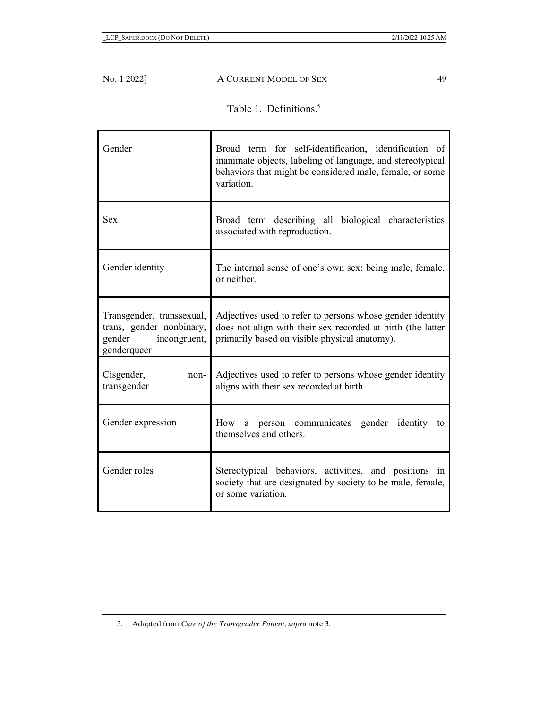ń

|  | Table 1. Definitions. <sup>5</sup> |
|--|------------------------------------|
|--|------------------------------------|

| Gender                                                                                      | Broad term for self-identification, identification of<br>inanimate objects, labeling of language, and stereotypical<br>behaviors that might be considered male, female, or some<br>variation. |
|---------------------------------------------------------------------------------------------|-----------------------------------------------------------------------------------------------------------------------------------------------------------------------------------------------|
| <b>Sex</b>                                                                                  | Broad term describing all biological characteristics<br>associated with reproduction.                                                                                                         |
| Gender identity                                                                             | The internal sense of one's own sex: being male, female,<br>or neither.                                                                                                                       |
| Transgender, transsexual,<br>trans, gender nonbinary,<br>gender incongruent,<br>genderqueer | Adjectives used to refer to persons whose gender identity<br>does not align with their sex recorded at birth (the latter<br>primarily based on visible physical anatomy).                     |
| Cisgender,<br>non-<br>transgender                                                           | Adjectives used to refer to persons whose gender identity<br>aligns with their sex recorded at birth.                                                                                         |
| Gender expression                                                                           | How a person communicates gender identity to<br>themselves and others.                                                                                                                        |
| Gender roles                                                                                | Stereotypical behaviors, activities, and positions in<br>society that are designated by society to be male, female,<br>or some variation.                                                     |

<sup>5.</sup> Adapted from *Care of the Transgender Patient*, *supra* note 3.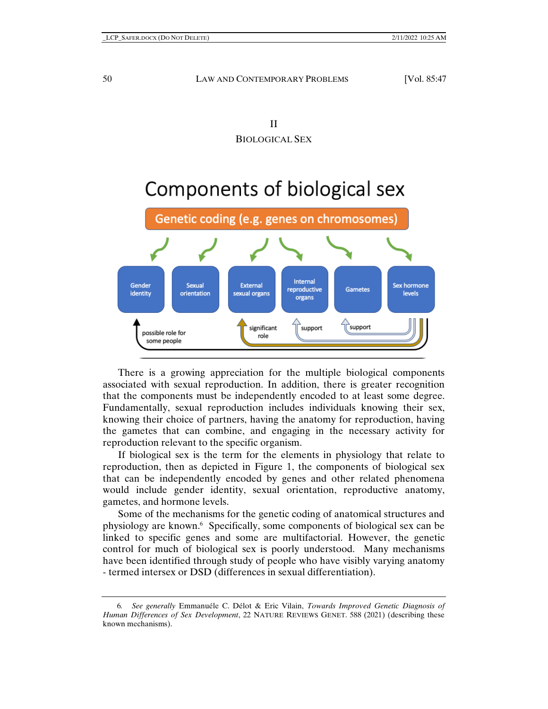# Components of biological sex



There is a growing appreciation for the multiple biological components associated with sexual reproduction. In addition, there is greater recognition that the components must be independently encoded to at least some degree. Fundamentally, sexual reproduction includes individuals knowing their sex, knowing their choice of partners, having the anatomy for reproduction, having the gametes that can combine, and engaging in the necessary activity for reproduction relevant to the specific organism.

If biological sex is the term for the elements in physiology that relate to reproduction, then as depicted in Figure 1, the components of biological sex that can be independently encoded by genes and other related phenomena would include gender identity, sexual orientation, reproductive anatomy, gametes, and hormone levels.

Some of the mechanisms for the genetic coding of anatomical structures and physiology are known.<sup>6</sup> Specifically, some components of biological sex can be linked to specific genes and some are multifactorial. However, the genetic control for much of biological sex is poorly understood. Many mechanisms have been identified through study of people who have visibly varying anatomy - termed intersex or DSD (differences in sexual differentiation).

<sup>6</sup>*. See generally* Emmanuéle C. Délot & Eric Vilain, *Towards Improved Genetic Diagnosis of Human Differences of Sex Development*, 22 NATURE REVIEWS GENET. 588 (2021) (describing these known mechanisms).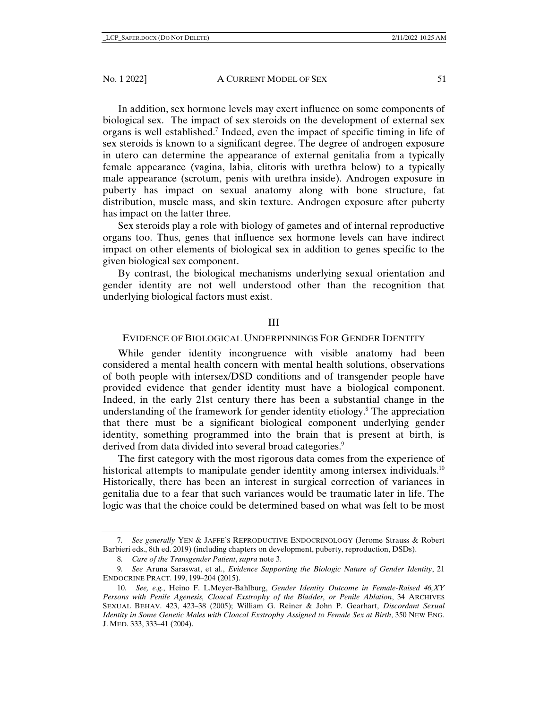In addition, sex hormone levels may exert influence on some components of biological sex. The impact of sex steroids on the development of external sex organs is well established.<sup>7</sup> Indeed, even the impact of specific timing in life of sex steroids is known to a significant degree. The degree of androgen exposure in utero can determine the appearance of external genitalia from a typically female appearance (vagina, labia, clitoris with urethra below) to a typically male appearance (scrotum, penis with urethra inside). Androgen exposure in puberty has impact on sexual anatomy along with bone structure, fat distribution, muscle mass, and skin texture. Androgen exposure after puberty has impact on the latter three.

Sex steroids play a role with biology of gametes and of internal reproductive organs too. Thus, genes that influence sex hormone levels can have indirect impact on other elements of biological sex in addition to genes specific to the given biological sex component.

By contrast, the biological mechanisms underlying sexual orientation and gender identity are not well understood other than the recognition that underlying biological factors must exist.

# III

# EVIDENCE OF BIOLOGICAL UNDERPINNINGS FOR GENDER IDENTITY

While gender identity incongruence with visible anatomy had been considered a mental health concern with mental health solutions, observations of both people with intersex/DSD conditions and of transgender people have provided evidence that gender identity must have a biological component. Indeed, in the early 21st century there has been a substantial change in the understanding of the framework for gender identity etiology.<sup>8</sup> The appreciation that there must be a significant biological component underlying gender identity, something programmed into the brain that is present at birth, is derived from data divided into several broad categories.<sup>9</sup>

The first category with the most rigorous data comes from the experience of historical attempts to manipulate gender identity among intersex individuals.<sup>10</sup> Historically, there has been an interest in surgical correction of variances in genitalia due to a fear that such variances would be traumatic later in life. The logic was that the choice could be determined based on what was felt to be most

<sup>7</sup>*. See generally* YEN & JAFFE'S REPRODUCTIVE ENDOCRINOLOGY (Jerome Strauss & Robert Barbieri eds., 8th ed. 2019) (including chapters on development, puberty, reproduction, DSDs).

<sup>8</sup>*. Care of the Transgender Patient*, *supra* note 3.

<sup>9</sup>*. See* Aruna Saraswat, et al., *Evidence Supporting the Biologic Nature of Gender Identity*, 21 ENDOCRINE PRACT. 199, 199–204 (2015).

<sup>10</sup>*. See, e.g.*, Heino F. L.Meyer-Bahlburg, *Gender Identity Outcome in Female-Raised 46,XY Persons with Penile Agenesis, Cloacal Exstrophy of the Bladder, or Penile Ablation*, 34 ARCHIVES SEXUAL BEHAV. 423, 423–38 (2005); William G. Reiner & John P. Gearhart, *Discordant Sexual Identity in Some Genetic Males with Cloacal Exstrophy Assigned to Female Sex at Birth*, 350 NEW ENG. J. MED. 333, 333–41 (2004).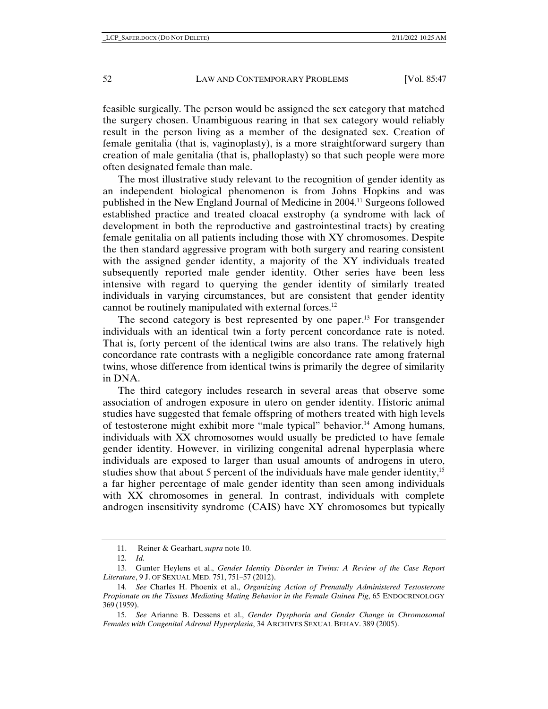feasible surgically. The person would be assigned the sex category that matched the surgery chosen. Unambiguous rearing in that sex category would reliably result in the person living as a member of the designated sex. Creation of female genitalia (that is, vaginoplasty), is a more straightforward surgery than creation of male genitalia (that is, phalloplasty) so that such people were more often designated female than male.

The most illustrative study relevant to the recognition of gender identity as an independent biological phenomenon is from Johns Hopkins and was published in the New England Journal of Medicine in 2004.11 Surgeons followed established practice and treated cloacal exstrophy (a syndrome with lack of development in both the reproductive and gastrointestinal tracts) by creating female genitalia on all patients including those with XY chromosomes. Despite the then standard aggressive program with both surgery and rearing consistent with the assigned gender identity, a majority of the XY individuals treated subsequently reported male gender identity. Other series have been less intensive with regard to querying the gender identity of similarly treated individuals in varying circumstances, but are consistent that gender identity cannot be routinely manipulated with external forces.12

The second category is best represented by one paper.<sup>13</sup> For transgender individuals with an identical twin a forty percent concordance rate is noted. That is, forty percent of the identical twins are also trans. The relatively high concordance rate contrasts with a negligible concordance rate among fraternal twins, whose difference from identical twins is primarily the degree of similarity in DNA.

The third category includes research in several areas that observe some association of androgen exposure in utero on gender identity. Historic animal studies have suggested that female offspring of mothers treated with high levels of testosterone might exhibit more "male typical" behavior.14 Among humans, individuals with XX chromosomes would usually be predicted to have female gender identity. However, in virilizing congenital adrenal hyperplasia where individuals are exposed to larger than usual amounts of androgens in utero, studies show that about 5 percent of the individuals have male gender identity,<sup>15</sup> a far higher percentage of male gender identity than seen among individuals with XX chromosomes in general. In contrast, individuals with complete androgen insensitivity syndrome (CAIS) have XY chromosomes but typically

<sup>11.</sup> Reiner & Gearhart, *supra* note 10.

<sup>12</sup>*. Id.*

<sup>13.</sup> Gunter Heylens et al., *Gender Identity Disorder in Twins: A Review of the Case Report Literature*, 9 J. OF SEXUAL MED. 751, 751–57 (2012).

<sup>14</sup>*. See* Charles H. Phoenix et al., *Organizing Action of Prenatally Administered Testosterone Propionate on the Tissues Mediating Mating Behavior in the Female Guinea Pig*, 65 ENDOCRINOLOGY 369 (1959).

<sup>15</sup>*. See* Arianne B. Dessens et al., *Gender Dysphoria and Gender Change in Chromosomal Females with Congenital Adrenal Hyperplasia*, 34 ARCHIVES SEXUAL BEHAV. 389 (2005).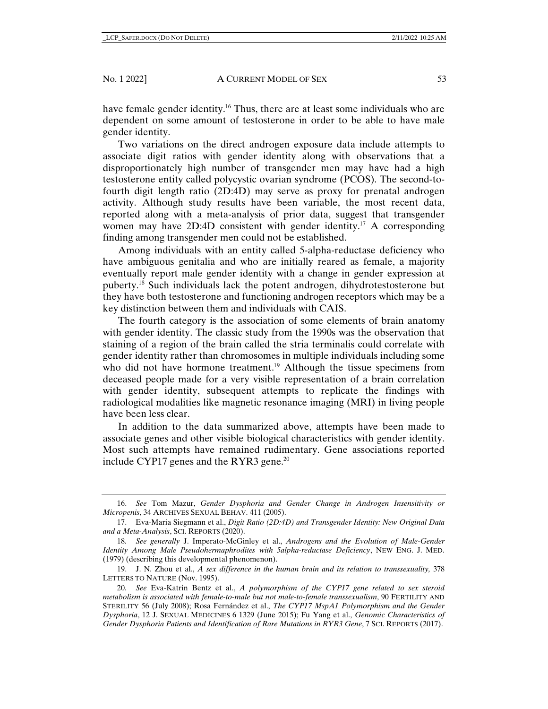have female gender identity.<sup>16</sup> Thus, there are at least some individuals who are dependent on some amount of testosterone in order to be able to have male gender identity.

Two variations on the direct androgen exposure data include attempts to associate digit ratios with gender identity along with observations that a disproportionately high number of transgender men may have had a high testosterone entity called polycystic ovarian syndrome (PCOS). The second-tofourth digit length ratio (2D:4D) may serve as proxy for prenatal androgen activity. Although study results have been variable, the most recent data, reported along with a meta-analysis of prior data, suggest that transgender women may have 2D:4D consistent with gender identity.<sup>17</sup> A corresponding finding among transgender men could not be established.

Among individuals with an entity called 5-alpha-reductase deficiency who have ambiguous genitalia and who are initially reared as female, a majority eventually report male gender identity with a change in gender expression at puberty.18 Such individuals lack the potent androgen, dihydrotestosterone but they have both testosterone and functioning androgen receptors which may be a key distinction between them and individuals with CAIS.

The fourth category is the association of some elements of brain anatomy with gender identity. The classic study from the 1990s was the observation that staining of a region of the brain called the stria terminalis could correlate with gender identity rather than chromosomes in multiple individuals including some who did not have hormone treatment.<sup>19</sup> Although the tissue specimens from deceased people made for a very visible representation of a brain correlation with gender identity, subsequent attempts to replicate the findings with radiological modalities like magnetic resonance imaging (MRI) in living people have been less clear.

In addition to the data summarized above, attempts have been made to associate genes and other visible biological characteristics with gender identity. Most such attempts have remained rudimentary. Gene associations reported include CYP17 genes and the RYR3 gene.<sup>20</sup>

<sup>16.</sup> *See* Tom Mazur, *Gender Dysphoria and Gender Change in Androgen Insensitivity or Micropenis*, 34 ARCHIVES SEXUAL BEHAV. 411 (2005).

<sup>17.</sup> Eva-Maria Siegmann et al., *Digit Ratio (2D:4D) and Transgender Identity: New Original Data and a Meta-Analysis*, SCI. REPORTS (2020).

<sup>18</sup>*. See generally* J. Imperato-McGinley et al., *Androgens and the Evolution of Male-Gender Identity Among Male Pseudohermaphrodites with 5alpha-reductase Deficiency*, NEW ENG. J. MED. (1979) (describing this developmental phenomenon).

<sup>19.</sup> J. N. Zhou et al., *A sex difference in the human brain and its relation to transsexuality,* 378 LETTERS TO NATURE (Nov. 1995).

<sup>20</sup>*. See* Eva-Katrin Bentz et al., *A polymorphism of the CYP17 gene related to sex steroid metabolism is associated with female-to-male but not male-to-female transsexualism*, 90 FERTILITY AND STERILITY 56 (July 2008); Rosa Fernández et al., *The CYP17 MspA1 Polymorphism and the Gender Dysphoria*, 12 J. SEXUAL MEDICINES 6 1329 (June 2015); Fu Yang et al., *Genomic Characteristics of Gender Dysphoria Patients and Identification of Rare Mutations in RYR3 Gene*, 7 SCI. REPORTS (2017).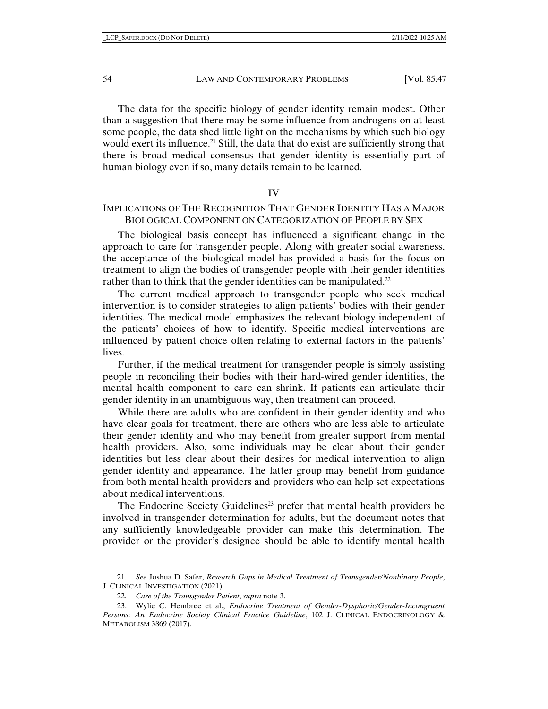The data for the specific biology of gender identity remain modest. Other than a suggestion that there may be some influence from androgens on at least some people, the data shed little light on the mechanisms by which such biology would exert its influence.<sup>21</sup> Still, the data that do exist are sufficiently strong that there is broad medical consensus that gender identity is essentially part of human biology even if so, many details remain to be learned.

IV

# IMPLICATIONS OF THE RECOGNITION THAT GENDER IDENTITY HAS A MAJOR BIOLOGICAL COMPONENT ON CATEGORIZATION OF PEOPLE BY SEX

The biological basis concept has influenced a significant change in the approach to care for transgender people. Along with greater social awareness, the acceptance of the biological model has provided a basis for the focus on treatment to align the bodies of transgender people with their gender identities rather than to think that the gender identities can be manipulated.<sup>22</sup>

The current medical approach to transgender people who seek medical intervention is to consider strategies to align patients' bodies with their gender identities. The medical model emphasizes the relevant biology independent of the patients' choices of how to identify. Specific medical interventions are influenced by patient choice often relating to external factors in the patients' lives.

Further, if the medical treatment for transgender people is simply assisting people in reconciling their bodies with their hard-wired gender identities, the mental health component to care can shrink. If patients can articulate their gender identity in an unambiguous way, then treatment can proceed.

While there are adults who are confident in their gender identity and who have clear goals for treatment, there are others who are less able to articulate their gender identity and who may benefit from greater support from mental health providers. Also, some individuals may be clear about their gender identities but less clear about their desires for medical intervention to align gender identity and appearance. The latter group may benefit from guidance from both mental health providers and providers who can help set expectations about medical interventions.

The Endocrine Society Guidelines<sup>23</sup> prefer that mental health providers be involved in transgender determination for adults, but the document notes that any sufficiently knowledgeable provider can make this determination. The provider or the provider's designee should be able to identify mental health

<sup>21</sup>*. See* Joshua D. Safer, *Research Gaps in Medical Treatment of Transgender/Nonbinary People*, J. CLINICAL INVESTIGATION (2021).

<sup>22</sup>*. Care of the Transgender Patient*, *supra* note 3.

<sup>23.</sup> Wylie C. Hembree et al., *Endocrine Treatment of Gender-Dysphoric/Gender-Incongruent Persons: An Endocrine Society Clinical Practice Guideline*, 102 J. CLINICAL ENDOCRINOLOGY & METABOLISM 3869 (2017).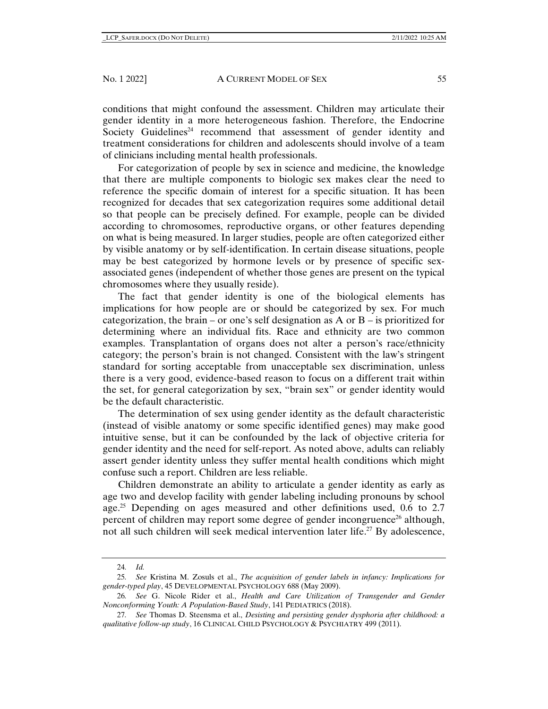conditions that might confound the assessment. Children may articulate their gender identity in a more heterogeneous fashion. Therefore, the Endocrine Society Guidelines<sup>24</sup> recommend that assessment of gender identity and treatment considerations for children and adolescents should involve of a team of clinicians including mental health professionals.

For categorization of people by sex in science and medicine, the knowledge that there are multiple components to biologic sex makes clear the need to reference the specific domain of interest for a specific situation. It has been recognized for decades that sex categorization requires some additional detail so that people can be precisely defined. For example, people can be divided according to chromosomes, reproductive organs, or other features depending on what is being measured. In larger studies, people are often categorized either by visible anatomy or by self-identification. In certain disease situations, people may be best categorized by hormone levels or by presence of specific sexassociated genes (independent of whether those genes are present on the typical chromosomes where they usually reside).

The fact that gender identity is one of the biological elements has implications for how people are or should be categorized by sex. For much categorization, the brain – or one's self designation as A or  $B -$  is prioritized for determining where an individual fits. Race and ethnicity are two common examples. Transplantation of organs does not alter a person's race/ethnicity category; the person's brain is not changed. Consistent with the law's stringent standard for sorting acceptable from unacceptable sex discrimination, unless there is a very good, evidence-based reason to focus on a different trait within the set, for general categorization by sex, "brain sex" or gender identity would be the default characteristic.

The determination of sex using gender identity as the default characteristic (instead of visible anatomy or some specific identified genes) may make good intuitive sense, but it can be confounded by the lack of objective criteria for gender identity and the need for self-report. As noted above, adults can reliably assert gender identity unless they suffer mental health conditions which might confuse such a report. Children are less reliable.

Children demonstrate an ability to articulate a gender identity as early as age two and develop facility with gender labeling including pronouns by school age.<sup>25</sup> Depending on ages measured and other definitions used,  $0.6$  to  $2.7$ percent of children may report some degree of gender incongruence<sup>26</sup> although, not all such children will seek medical intervention later life.<sup>27</sup> By adolescence,

<sup>24</sup>*. Id.*

<sup>25</sup>*. See* Kristina M. Zosuls et al., *The acquisition of gender labels in infancy: Implications for gender-typed play*, 45 DEVELOPMENTAL PSYCHOLOGY 688 (May 2009).

<sup>26</sup>*. See* G. Nicole Rider et al., *Health and Care Utilization of Transgender and Gender Nonconforming Youth: A Population-Based Study*, 141 PEDIATRICS (2018).

<sup>27</sup>*. See* Thomas D. Steensma et al., *Desisting and persisting gender dysphoria after childhood: a qualitative follow-up study*, 16 CLINICAL CHILD PSYCHOLOGY & PSYCHIATRY 499 (2011).